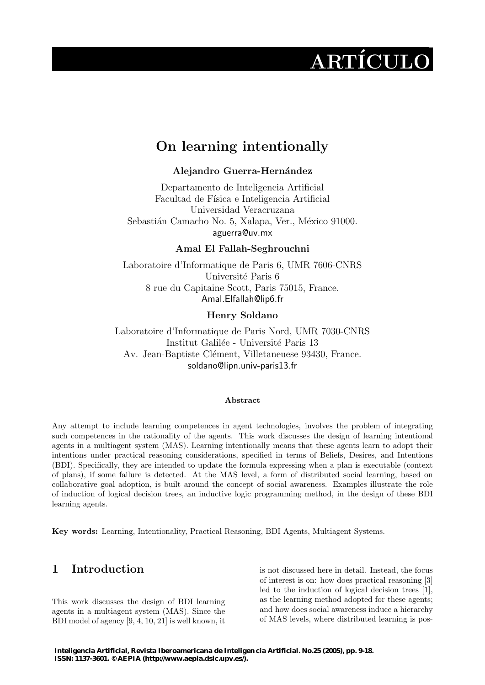# $\rm ARTÍCULO$

# On learning intentionally

## Alejandro Guerra-Hernández

Departamento de Inteligencia Artificial Facultad de Física e Inteligencia Artificial Universidad Veracruzana Sebastián Camacho No. 5, Xalapa, Ver., México 91000. aguerra@uv.mx

Amal El Fallah-Seghrouchni

Laboratoire d'Informatique de Paris 6, UMR 7606-CNRS Université Paris 6 8 rue du Capitaine Scott, Paris 75015, France. Amal.Elfallah@lip6.fr

## Henry Soldano

Laboratoire d'Informatique de Paris Nord, UMR 7030-CNRS Institut Galilée - Université Paris 13 Av. Jean-Baptiste Clément, Villetaneuese 93430, France. soldano@lipn.univ-paris13.fr

#### Abstract

Any attempt to include learning competences in agent technologies, involves the problem of integrating such competences in the rationality of the agents. This work discusses the design of learning intentional agents in a multiagent system (MAS). Learning intentionally means that these agents learn to adopt their intentions under practical reasoning considerations, specified in terms of Beliefs, Desires, and Intentions (BDI). Specifically, they are intended to update the formula expressing when a plan is executable (context of plans), if some failure is detected. At the MAS level, a form of distributed social learning, based on collaborative goal adoption, is built around the concept of social awareness. Examples illustrate the role of induction of logical decision trees, an inductive logic programming method, in the design of these BDI learning agents.

Key words: Learning, Intentionality, Practical Reasoning, BDI Agents, Multiagent Systems.

# 1 Introduction

This work discusses the design of BDI learning agents in a multiagent system (MAS). Since the BDI model of agency [9, 4, 10, 21] is well known, it

is not discussed here in detail. Instead, the focus of interest is on: how does practical reasoning [3] led to the induction of logical decision trees [1], as the learning method adopted for these agents; and how does social awareness induce a hierarchy of MAS levels, where distributed learning is pos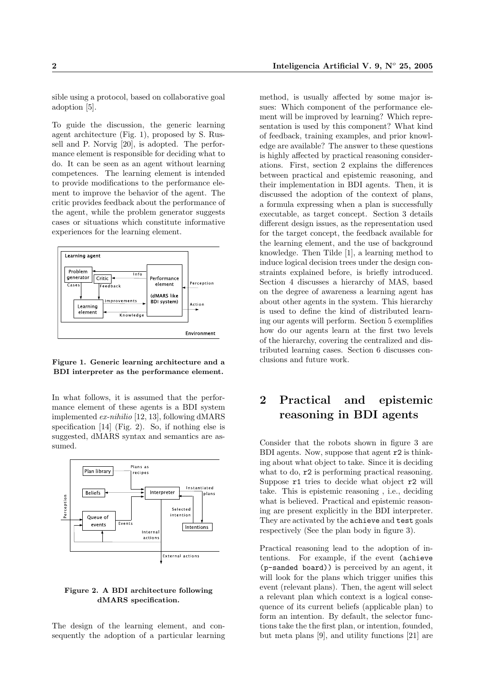sible using a protocol, based on collaborative goal adoption [5].

To guide the discussion, the generic learning agent architecture (Fig. 1), proposed by S. Russell and P. Norvig [20], is adopted. The performance element is responsible for deciding what to do. It can be seen as an agent without learning competences. The learning element is intended to provide modifications to the performance element to improve the behavior of the agent. The critic provides feedback about the performance of the agent, while the problem generator suggests cases or situations which constitute informative experiences for the learning element.



#### Figure 1. Generic learning architecture and a BDI interpreter as the performance element.

In what follows, it is assumed that the performance element of these agents is a BDI system implemented ex-nihilio [12, 13], following dMARS specification [14] (Fig. 2). So, if nothing else is suggested, dMARS syntax and semantics are assumed.



#### Figure 2. A BDI architecture following dMARS specification.

The design of the learning element, and consequently the adoption of a particular learning

method, is usually affected by some major issues: Which component of the performance element will be improved by learning? Which representation is used by this component? What kind of feedback, training examples, and prior knowledge are available? The answer to these questions is highly affected by practical reasoning considerations. First, section 2 explains the differences between practical and epistemic reasoning, and their implementation in BDI agents. Then, it is discussed the adoption of the context of plans, a formula expressing when a plan is successfully executable, as target concept. Section 3 details different design issues, as the representation used for the target concept, the feedback available for the learning element, and the use of background knowledge. Then Tilde [1], a learning method to induce logical decision trees under the design constraints explained before, is briefly introduced. Section 4 discusses a hierarchy of MAS, based on the degree of awareness a learning agent has about other agents in the system. This hierarchy is used to define the kind of distributed learning our agents will perform. Section 5 exemplifies how do our agents learn at the first two levels of the hierarchy, covering the centralized and distributed learning cases. Section 6 discusses conclusions and future work.

# 2 Practical and epistemic reasoning in BDI agents

Consider that the robots shown in figure 3 are BDI agents. Now, suppose that agent r2 is thinking about what object to take. Since it is deciding what to do,  $r2$  is performing practical reasoning. Suppose  $r1$  tries to decide what object  $r2$  will take. This is epistemic reasoning , i.e., deciding what is believed. Practical and epistemic reasoning are present explicitly in the BDI interpreter. They are activated by the achieve and test goals respectively (See the plan body in figure 3).

Practical reasoning lead to the adoption of intentions. For example, if the event (achieve (p-sanded board)) is perceived by an agent, it will look for the plans which trigger unifies this event (relevant plans). Then, the agent will select a relevant plan which context is a logical consequence of its current beliefs (applicable plan) to form an intention. By default, the selector functions take the the first plan, or intention, founded, but meta plans [9], and utility functions [21] are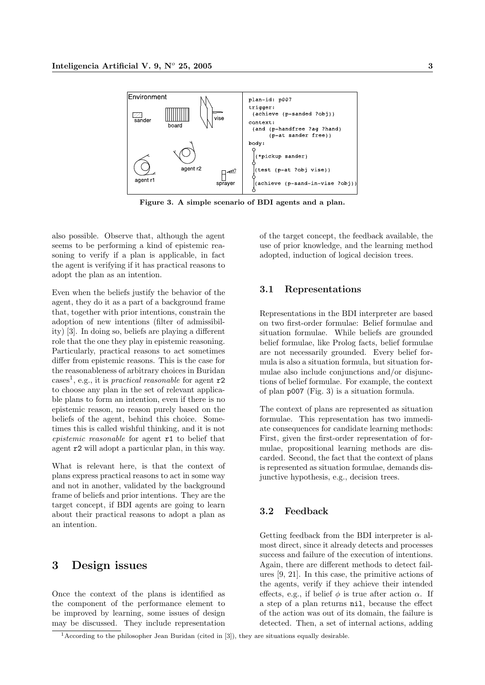

Figure 3. A simple scenario of BDI agents and a plan.

also possible. Observe that, although the agent seems to be performing a kind of epistemic reasoning to verify if a plan is applicable, in fact the agent is verifying if it has practical reasons to adopt the plan as an intention.

Even when the beliefs justify the behavior of the agent, they do it as a part of a background frame that, together with prior intentions, constrain the adoption of new intentions (filter of admissibility) [3]. In doing so, beliefs are playing a different role that the one they play in epistemic reasoning. Particularly, practical reasons to act sometimes differ from epistemic reasons. This is the case for the reasonableness of arbitrary choices in Buridan cases<sup>1</sup>, e.g., it is *practical reasonable* for agent  $r2$ to choose any plan in the set of relevant applicable plans to form an intention, even if there is no epistemic reason, no reason purely based on the beliefs of the agent, behind this choice. Sometimes this is called wishful thinking, and it is not epistemic reasonable for agent r1 to belief that agent r2 will adopt a particular plan, in this way.

What is relevant here, is that the context of plans express practical reasons to act in some way and not in another, validated by the background frame of beliefs and prior intentions. They are the target concept, if BDI agents are going to learn about their practical reasons to adopt a plan as an intention.

# 3 Design issues

Once the context of the plans is identified as the component of the performance element to be improved by learning, some issues of design may be discussed. They include representation of the target concept, the feedback available, the use of prior knowledge, and the learning method adopted, induction of logical decision trees.

#### 3.1 Representations

Representations in the BDI interpreter are based on two first-order formulae: Belief formulae and situation formulae. While beliefs are grounded belief formulae, like Prolog facts, belief formulae are not necessarily grounded. Every belief formula is also a situation formula, but situation formulae also include conjunctions and/or disjunctions of belief formulae. For example, the context of plan p007 (Fig. 3) is a situation formula.

The context of plans are represented as situation formulae. This representation has two immediate consequences for candidate learning methods: First, given the first-order representation of formulae, propositional learning methods are discarded. Second, the fact that the context of plans is represented as situation formulae, demands disjunctive hypothesis, e.g., decision trees.

#### 3.2 Feedback

Getting feedback from the BDI interpreter is almost direct, since it already detects and processes success and failure of the execution of intentions. Again, there are different methods to detect failures [9, 21]. In this case, the primitive actions of the agents, verify if they achieve their intended effects, e.g., if belief  $\phi$  is true after action  $\alpha$ . If a step of a plan returns nil, because the effect of the action was out of its domain, the failure is detected. Then, a set of internal actions, adding

 $1$ According to the philosopher Jean Buridan (cited in [3]), they are situations equally desirable.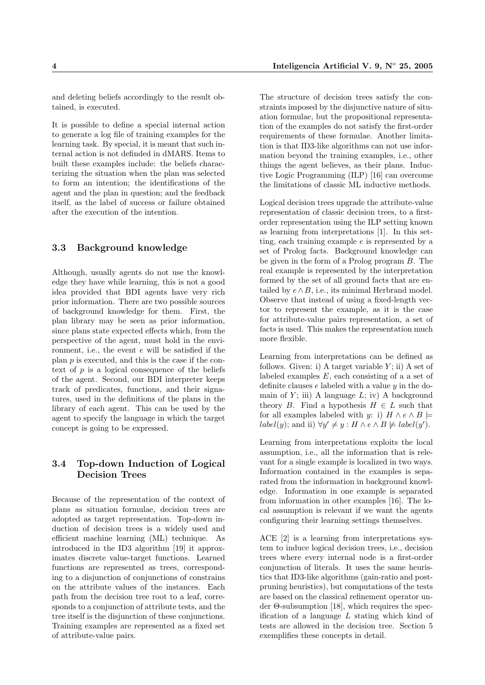and deleting beliefs accordingly to the result obtained, is executed.

It is possible to define a special internal action to generate a log file of training examples for the learning task. By special, it is meant that such internal action is not definded in dMARS. Items to built these examples include: the beliefs characterizing the situation when the plan was selected to form an intention; the identifications of the agent and the plan in question; and the feedback itself, as the label of success or failure obtained after the execution of the intention.

#### 3.3 Background knowledge

Although, usually agents do not use the knowledge they have while learning, this is not a good idea provided that BDI agents have very rich prior information. There are two possible sources of background knowledge for them. First, the plan library may be seen as prior information, since plans state expected effects which, from the perspective of the agent, must hold in the environment, i.e., the event  $e$  will be satisfied if the plan  $p$  is executed, and this is the case if the context of  $p$  is a logical consequence of the beliefs of the agent. Second, our BDI interpreter keeps track of predicates, functions, and their signatures, used in the definitions of the plans in the library of each agent. This can be used by the agent to specify the language in which the target concept is going to be expressed.

#### 3.4 Top-down Induction of Logical Decision Trees

Because of the representation of the context of plans as situation formulae, decision trees are adopted as target representation. Top-down induction of decision trees is a widely used and efficient machine learning (ML) technique. As introduced in the ID3 algorithm [19] it approximates discrete value-target functions. Learned functions are represented as trees, corresponding to a disjunction of conjunctions of constrains on the attribute values of the instances. Each path from the decision tree root to a leaf, corresponds to a conjunction of attribute tests, and the tree itself is the disjunction of these conjunctions. Training examples are represented as a fixed set of attribute-value pairs.

The structure of decision trees satisfy the constraints imposed by the disjunctive nature of situation formulae, but the propositional representation of the examples do not satisfy the first-order requirements of these formulae. Another limitation is that ID3-like algorithms can not use information beyond the training examples, i.e., other things the agent believes, as their plans. Inductive Logic Programming (ILP) [16] can overcome the limitations of classic ML inductive methods.

Logical decision trees upgrade the attribute-value representation of classic decision trees, to a firstorder representation using the ILP setting known as learning from interpretations [1]. In this setting, each training example e is represented by a set of Prolog facts. Background knowledge can be given in the form of a Prolog program B. The real example is represented by the interpretation formed by the set of all ground facts that are entailed by  $e \wedge B$ , i.e., its minimal Herbrand model. Observe that instead of using a fixed-length vector to represent the example, as it is the case for attribute-value pairs representation, a set of facts is used. This makes the representation much more flexible.

Learning from interpretations can be defined as follows. Given: i) A target variable  $Y$ ; ii) A set of labeled examples E, each consisting of a a set of definite clauses  $e$  labeled with a value  $y$  in the domain of  $Y$ ; iii) A language  $L$ ; iv) A background theory B. Find a hypothesis  $H \in L$  such that for all examples labeled with y: i)  $H \wedge e \wedge B$   $\models$  $label(y);$  and ii)  $\forall y' \neq y : H \land e \land B \not\models label(y').$ 

Learning from interpretations exploits the local assumption, i.e., all the information that is relevant for a single example is localized in two ways. Information contained in the examples is separated from the information in background knowledge. Information in one example is separated from information in other examples [16]. The local assumption is relevant if we want the agents configuring their learning settings themselves.

ACE [2] is a learning from interpretations system to induce logical decision trees, i.e., decision trees where every internal node is a first-order conjunction of literals. It uses the same heuristics that ID3-like algorithms (gain-ratio and postpruning heuristics), but computations of the tests are based on the classical refinement operator under Θ-subsumption [18], which requires the specification of a language L stating which kind of tests are allowed in the decision tree. Section 5 exemplifies these concepts in detail.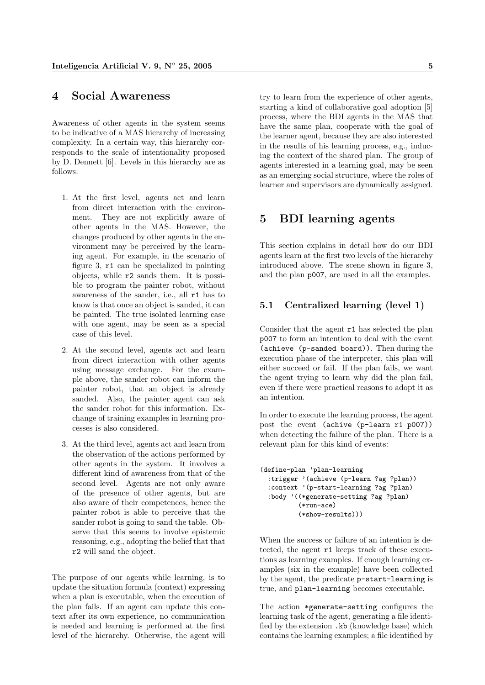#### 4 Social Awareness

Awareness of other agents in the system seems to be indicative of a MAS hierarchy of increasing complexity. In a certain way, this hierarchy corresponds to the scale of intentionality proposed by D. Dennett [6]. Levels in this hierarchy are as follows:

- 1. At the first level, agents act and learn from direct interaction with the environment. They are not explicitly aware of other agents in the MAS. However, the changes produced by other agents in the environment may be perceived by the learning agent. For example, in the scenario of figure 3, r1 can be specialized in painting objects, while r2 sands them. It is possible to program the painter robot, without awareness of the sander, i.e., all r1 has to know is that once an object is sanded, it can be painted. The true isolated learning case with one agent, may be seen as a special case of this level.
- 2. At the second level, agents act and learn from direct interaction with other agents using message exchange. For the example above, the sander robot can inform the painter robot, that an object is already sanded. Also, the painter agent can ask the sander robot for this information. Exchange of training examples in learning processes is also considered.
- 3. At the third level, agents act and learn from the observation of the actions performed by other agents in the system. It involves a different kind of awareness from that of the second level. Agents are not only aware of the presence of other agents, but are also aware of their competences, hence the painter robot is able to perceive that the sander robot is going to sand the table. Observe that this seems to involve epistemic reasoning, e.g., adopting the belief that that r2 will sand the object.

The purpose of our agents while learning, is to update the situation formula (context) expressing when a plan is executable, when the execution of the plan fails. If an agent can update this context after its own experience, no communication is needed and learning is performed at the first level of the hierarchy. Otherwise, the agent will

try to learn from the experience of other agents, starting a kind of collaborative goal adoption [5] process, where the BDI agents in the MAS that have the same plan, cooperate with the goal of the learner agent, because they are also interested in the results of his learning process, e.g., inducing the context of the shared plan. The group of agents interested in a learning goal, may be seen as an emerging social structure, where the roles of learner and supervisors are dynamically assigned.

# 5 BDI learning agents

This section explains in detail how do our BDI agents learn at the first two levels of the hierarchy introduced above. The scene shown in figure 3, and the plan p007, are used in all the examples.

### 5.1 Centralized learning (level 1)

Consider that the agent r1 has selected the plan p007 to form an intention to deal with the event (achieve (p-sanded board)). Then during the execution phase of the interpreter, this plan will either succeed or fail. If the plan fails, we want the agent trying to learn why did the plan fail, even if there were practical reasons to adopt it as an intention.

In order to execute the learning process, the agent post the event (achive (p-learn r1 p007)) when detecting the failure of the plan. There is a relevant plan for this kind of events:

```
(define-plan 'plan-learning
  :trigger '(achieve (p-learn ?ag ?plan))
  :context '(p-start-learning ?ag ?plan)
  :body '((*generate-setting ?ag ?plan)
          (*run-rce)(*show-results)))
```
When the success or failure of an intention is detected, the agent r1 keeps track of these executions as learning examples. If enough learning examples (six in the example) have been collected by the agent, the predicate p-start-learning is true, and plan-learning becomes executable.

The action \*generate-setting configures the learning task of the agent, generating a file identified by the extension .kb (knowledge base) which contains the learning examples; a file identified by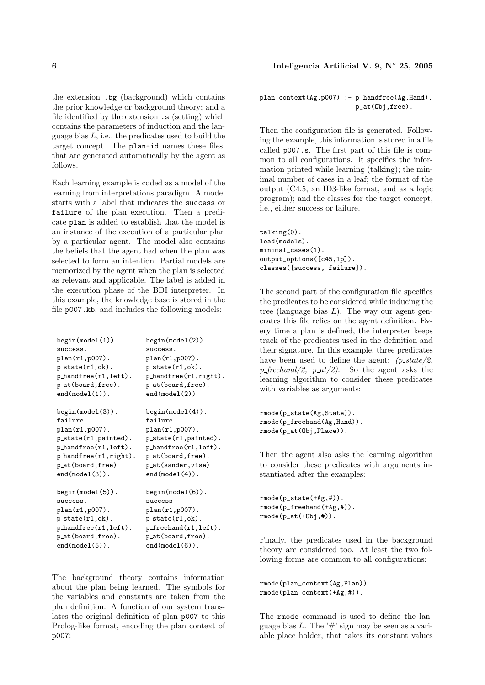the extension .bg (background) which contains the prior knowledge or background theory; and a file identified by the extension .s (setting) which contains the parameters of induction and the language bias  $L$ , i.e., the predicates used to build the target concept. The plan-id names these files, that are generated automatically by the agent as follows.

Each learning example is coded as a model of the learning from interpretations paradigm. A model starts with a label that indicates the success or failure of the plan execution. Then a predicate plan is added to establish that the model is an instance of the execution of a particular plan by a particular agent. The model also contains the beliefs that the agent had when the plan was selected to form an intention. Partial models are memorized by the agent when the plan is selected as relevant and applicable. The label is added in the execution phase of the BDI interpreter. In this example, the knowledge base is stored in the file p007.kb, and includes the following models:

| $begin(1)$ .                                  | $begin{bmatrix} (model(2)) \end{bmatrix}$ |
|-----------------------------------------------|-------------------------------------------|
| success.                                      | success.                                  |
| $plan(r1, p007)$ .                            | $plan(r1,p007)$ .                         |
| $p_{state}(r1, ok)$ .                         | $p_{state}(r1, ok)$ .                     |
| $p_{\text{}}$ hand free $(r1, \text{left})$ . | $p_{\text{.}}$ hand $free(r1, right)$ .   |
| p_at(board, free).                            | p_at(board,free).                         |
| end(model(1)).                                | end(model(2))                             |
| $beginmathsf{begin}}(3)$ .                    | $begin{pmatrix} 4 \end{pmatrix}$ .        |
| failure.                                      | failure.                                  |
| $plan(r1, p007)$ .                            | $plan(r1,p007)$ .                         |
| $p_{state}(r1, painted)$ .                    | p_state(r1,painted).                      |
| $p_{\text{.}}$ handfree $(r1, \text{left})$ . | $p_{\text{}}$ hand free $(r1, 1$ eft).    |
| $p_{\text{.}}$ handfree $(r1, right)$ .       | p_at(board,free).                         |
| p_at(board, free)                             | p_at(sander, vise)                        |
| $end(model(3))$ .                             | $end(model(4))$ .                         |
| $begin{pmatrix} 5 \end{pmatrix}$ .            | $begin{pmatrix} 6 \end{pmatrix}$ .        |
| success.                                      | success                                   |
| $plan(r1,p007)$ .                             | plan(r1, p007).                           |
| $p_{.}state(r1,ok)$ .                         | $p_{.}state(r1,ok)$ .                     |
| $p_{\text{}}$ handfree $(r1, \text{left})$ .  | $p_f$ reehand $(r1, left)$ .              |
| p_at(board,free).                             | p_at(board,free).                         |
| $end(model(5))$ .                             | $end(model(6))$ .                         |

The background theory contains information about the plan being learned. The symbols for the variables and constants are taken from the plan definition. A function of our system translates the original definition of plan p007 to this Prolog-like format, encoding the plan context of p007:

plan\_context(Ag,p007) :- p\_handfree(Ag,Hand), p\_at(Obj,free).

Then the configuration file is generated. Following the example, this information is stored in a file called p007.s. The first part of this file is common to all configurations. It specifies the information printed while learning (talking); the minimal number of cases in a leaf; the format of the output (C4.5, an ID3-like format, and as a logic program); and the classes for the target concept, i.e., either success or failure.

talking(0). load(models). minimal\_cases(1). output\_options([c45,lp]). classes([success, failure]).

The second part of the configuration file specifies the predicates to be considered while inducing the tree (language bias  $L$ ). The way our agent generates this file relies on the agent definition. Every time a plan is defined, the interpreter keeps track of the predicates used in the definition and their signature. In this example, three predicates have been used to define the agent:  $(p\_state/2)$ , p-freehand/2, p-at/2). So the agent asks the learning algorithm to consider these predicates with variables as arguments:

rmode(p\_state(Ag,State)). rmode(p\_freehand(Ag,Hand)). rmode(p\_at(Obj,Place)).

Then the agent also asks the learning algorithm to consider these predicates with arguments instantiated after the examples:

rmode(p\_state(+Ag,#)). rmode(p\_freehand(+Ag,#)).  $rmode(p_at(+0bj, #))$ .

Finally, the predicates used in the background theory are considered too. At least the two following forms are common to all configurations:

```
rmode(plan_context(Ag,Plan)).
rmode(plan_context(+Ag,#)).
```
The rmode command is used to define the language bias  $L$ . The '#' sign may be seen as a variable place holder, that takes its constant values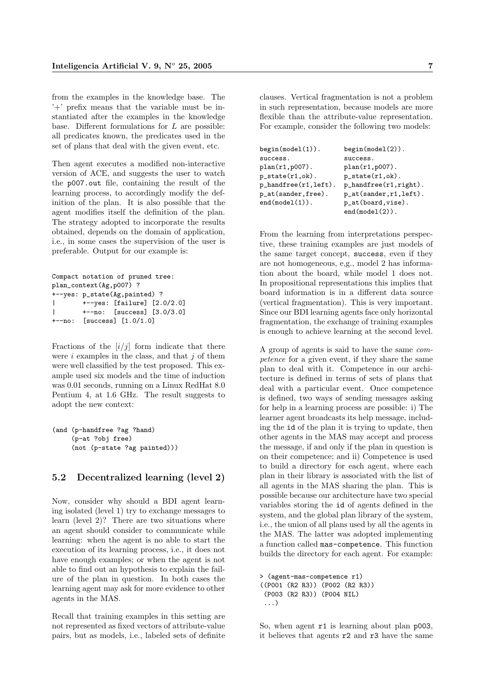from the examples in the knowledge base. The '+' prefix means that the variable must be instantiated after the examples in the knowledge base. Different formulations for  $L$  are possible: all predicates known, the predicates used in the set of plans that deal with the given event, etc.

Then agent executes a modified non-interactive version of ACE, and suggests the user to watch the p007.out file, containing the result of the learning process, to accordingly modify the definition of the plan. It is also possible that the agent modifies itself the definition of the plan. The strategy adopted to incorporate the results obtained, depends on the domain of application, i.e., in some cases the supervision of the user is preferable. Output for our example is:

```
Compact notation of pruned tree:
plan_context(Ag,p007) ?
 --yes: p_state(Ag,painted) ?
        | +--yes: [failure] [2.0/2.0]
        | +--no: [success] [3.0/3.0]
+--no: [success] [1.0/1.0]
```
Fractions of the  $[i/j]$  form indicate that there were  $i$  examples in the class, and that  $j$  of them were well classified by the test proposed. This example used six models and the time of induction was 0.01 seconds, running on a Linux RedHat 8.0 Pentium 4, at 1.6 GHz. The result suggests to adopt the new context:

```
(and (p-handfree ?ag ?hand)
     (p-at ?obj free)
     (not (p-state ?ag painted)))
```
#### 5.2 Decentralized learning (level 2)

Now, consider why should a BDI agent learning isolated (level 1) try to exchange messages to learn (level 2)? There are two situations where an agent should consider to communicate while learning: when the agent is no able to start the execution of its learning process, i.e., it does not have enough examples; or when the agent is not able to find out an hypothesis to explain the failure of the plan in question. In both cases the learning agent may ask for more evidence to other agents in the MAS.

Recall that training examples in this setting are not represented as fixed vectors of attribute-value pairs, but as models, i.e., labeled sets of definite

clauses. Vertical fragmentation is not a problem in such representation, because models are more flexible than the attribute-value representation. For example, consider the following two models:

| $begin(1)$ .                           | $begin{pmatrix} 2 \end{pmatrix}$ .      |
|----------------------------------------|-----------------------------------------|
| success.                               | success.                                |
| $plan(r1, p007)$ .                     | $plan(r1, p007)$ .                      |
| $p_{state}(r1, ok)$ .                  | $p_{state}(r1, ok)$ .                   |
| $p_{\text{}}$ hand free $(r1, 1$ eft). | $p_{\text{-}}$ handfree $(r1, right)$ . |
| p_at(sander,free).                     | $p_{at}$ (sander, r1, left).            |
| end(model(1)).                         | $p_{at}(board, visc)$ .                 |
|                                        | $end(model(2))$ .                       |

From the learning from interpretations perspective, these training examples are just models of the same target concept, success, even if they are not homogeneous, e,g., model 2 has information about the board, while model 1 does not. In propositional representations this implies that board information is in a different data source (vertical fragmentation). This is very important. Since our BDI learning agents face only horizontal fragmentation, the exchange of training examples is enough to achieve learning at the second level.

A group of agents is said to have the same competence for a given event, if they share the same plan to deal with it. Competence in our architecture is defined in terms of sets of plans that deal with a particular event. Once competence is defined, two ways of sending messages asking for help in a learning process are possible: i) The learner agent broadcasts its help message, including the id of the plan it is trying to update, then other agents in the MAS may accept and process the message, if and only if the plan in question is on their competence; and ii) Competence is used to build a directory for each agent, where each plan in their library is associated with the list of all agents in the MAS sharing the plan. This is possible because our architecture have two special variables storing the id of agents defined in the system, and the global plan library of the system, i.e., the union of all plans used by all the agents in the MAS. The latter was adopted implementing a function called mas-competence. This function builds the directory for each agent. For example:

```
> (agent-mas-competence r1)
((P001 (R2 R3)) (P002 (R2 R3))
(P003 (R2 R3)) (P004 NIL)
...)
```
So, when agent  $r1$  is learning about plan p003, it believes that agents r2 and r3 have the same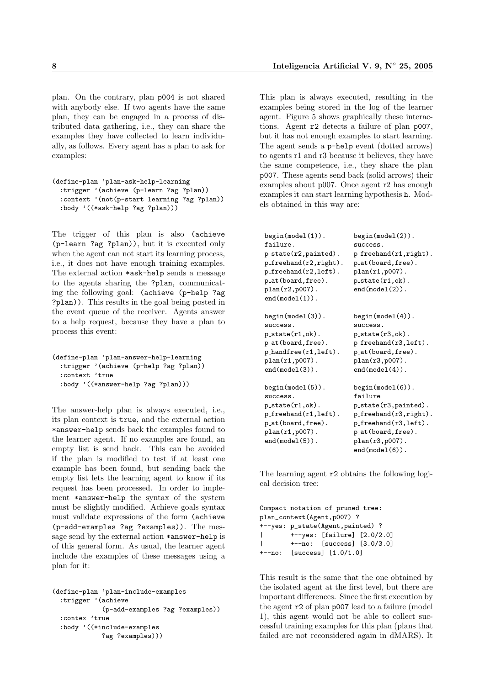plan. On the contrary, plan p004 is not shared with anybody else. If two agents have the same plan, they can be engaged in a process of distributed data gathering, i.e., they can share the examples they have collected to learn individually, as follows. Every agent has a plan to ask for examples:

```
(define-plan 'plan-ask-help-learning
 :trigger '(achieve (p-learn ?ag ?plan))
  :context '(not(p-start learning ?ag ?plan))
 :body '((*ask-help ?ag ?plan)))
```
The trigger of this plan is also (achieve (p-learn ?ag ?plan)), but it is executed only when the agent can not start its learning process, i.e., it does not have enough training examples. The external action \*ask-help sends a message to the agents sharing the ?plan, communicating the following goal: (achieve (p-help ?ag ?plan)). This results in the goal being posted in the event queue of the receiver. Agents answer to a help request, because they have a plan to process this event:

```
(define-plan 'plan-answer-help-learning
  :trigger '(achieve (p-help ?ag ?plan))
  :context 'true
  :body '((*answer-help ?ag ?plan)))
```
The answer-help plan is always executed, i.e., its plan context is true, and the external action \*answer-help sends back the examples found to the learner agent. If no examples are found, an empty list is send back. This can be avoided if the plan is modified to test if at least one example has been found, but sending back the empty list lets the learning agent to know if its request has been processed. In order to implement \*answer-help the syntax of the system must be slightly modified. Achieve goals syntax must validate expressions of the form (achieve (p-add-examples ?ag ?examples)). The message send by the external action \*answer-help is of this general form. As usual, the learner agent include the examples of these messages using a plan for it:

```
(define-plan 'plan-include-examples
 :trigger '(achieve
             (p-add-examples ?ag ?examples))
 :contex 'true
 :body '((*include-examples
             ?ag ?examples)))
```
This plan is always executed, resulting in the examples being stored in the log of the learner agent. Figure 5 shows graphically these interactions. Agent r2 detects a failure of plan p007, but it has not enough examples to start learning. The agent sends a p-help event (dotted arrows) to agents r1 and r3 because it believes, they have the same competence, i.e., they share the plan p007. These agents send back (solid arrows) their examples about p007. Once agent r2 has enough examples it can start learning hypothesis h. Models obtained in this way are:

| $begin{pmatrix} 1 \end{pmatrix}$ .            | $begin{pmatrix} 2 \end{pmatrix}$ .        |
|-----------------------------------------------|-------------------------------------------|
| failure.                                      | success.                                  |
| $p{\_}state(r2, painted)$ .                   | $p_f$ reehand $(r1, right)$ .             |
| $p\_freehand(r2, right)$ .                    | p_at(board,free).                         |
| $p_f$ reehand $(r2, left)$ .                  | $plan(r1, p007)$ .                        |
| p_at(board,free).                             | $p_{\text{.state}(r1, ok)}$ .             |
| plan(r2,p007).                                | $end(model(2))$ .                         |
| end(model(1)).                                |                                           |
| $begin{pmatrix} 0 & 0 \\ 0 & 1 \end{pmatrix}$ | $begin{pmatrix} 4 \end{pmatrix}$ .        |
| success.                                      | success.                                  |
| $p\_state(r1, ok)$ .                          | $p_{\text{-state}}(r3, ok)$ .             |
| p_at(board,free).                             | $p_f$ reehand $(r3, left)$ .              |
| $p\_handfree(r1, left)$ .                     | p_at(board,free).                         |
| plan(r1,p007).                                | plan(r3, p007).                           |
| $end(model(3))$ .                             | end(model(4)).                            |
| begin(model(5)).                              | $begin{bmatrix} (model(6)) \end{bmatrix}$ |
| success.                                      | failure                                   |
| $p\_state(r1, ok)$ .                          | $p_{\text{-state}}(r3, \text{paired})$ .  |
| $p$ _freehand $(r1, left)$ .                  | $p_f$ reehand $(r3, right)$ .             |
| p_at(board,free).                             | $p_f$ reehand $(r3, left)$ .              |
| plan(r1,p007).                                | p_at(board, free).                        |
| $end(model(5))$ .                             | plan(r3, p007).                           |
|                                               | $end(model(6))$ .                         |

The learning agent r2 obtains the following logical decision tree:

```
Compact notation of pruned tree:
plan_context(Agent,p007) ?
+--yes: p_state(Agent,painted) ?
| +--yes: [failure] [2.0/2.0]
       | +--no: [success] [3.0/3.0]
+--no: [success] [1.0/1.0]
```
This result is the same that the one obtained by the isolated agent at the first level, but there are important differences. Since the first execution by the agent r2 of plan p007 lead to a failure (model 1), this agent would not be able to collect successful training examples for this plan (plans that failed are not reconsidered again in dMARS). It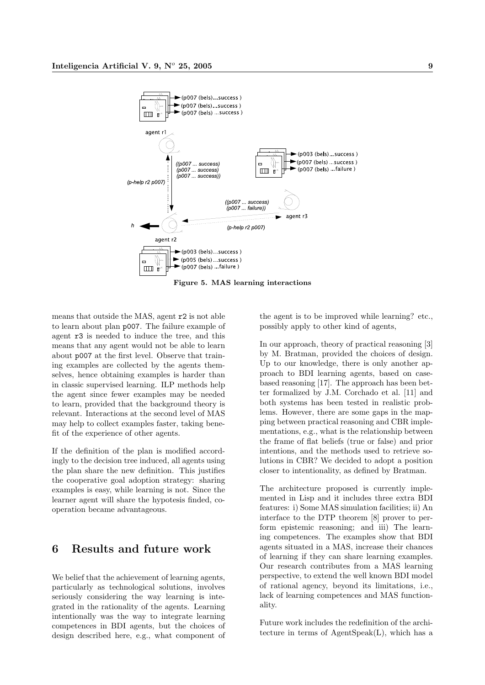

Figure 5. MAS learning interactions

means that outside the MAS, agent r2 is not able to learn about plan p007. The failure example of agent r3 is needed to induce the tree, and this means that any agent would not be able to learn about p007 at the first level. Observe that training examples are collected by the agents themselves, hence obtaining examples is harder than in classic supervised learning. ILP methods help the agent since fewer examples may be needed to learn, provided that the background theory is relevant. Interactions at the second level of MAS may help to collect examples faster, taking benefit of the experience of other agents.

If the definition of the plan is modified accordingly to the decision tree induced, all agents using the plan share the new definition. This justifies the cooperative goal adoption strategy: sharing examples is easy, while learning is not. Since the learner agent will share the hypotesis finded, cooperation became advantageous.

# 6 Results and future work

We belief that the achievement of learning agents, particularly as technological solutions, involves seriously considering the way learning is integrated in the rationality of the agents. Learning intentionally was the way to integrate learning competences in BDI agents, but the choices of design described here, e.g., what component of the agent is to be improved while learning? etc., possibly apply to other kind of agents,

In our approach, theory of practical reasoning [3] by M. Bratman, provided the choices of design. Up to our knowledge, there is only another approach to BDI learning agents, based on casebased reasoning [17]. The approach has been better formalized by J.M. Corchado et al. [11] and both systems has been tested in realistic problems. However, there are some gaps in the mapping between practical reasoning and CBR implementations, e.g., what is the relationship between the frame of flat beliefs (true or false) and prior intentions, and the methods used to retrieve solutions in CBR? We decided to adopt a position closer to intentionality, as defined by Bratman.

The architecture proposed is currently implemented in Lisp and it includes three extra BDI features: i) Some MAS simulation facilities; ii) An interface to the DTP theorem [8] prover to perform epistemic reasoning; and iii) The learning competences. The examples show that BDI agents situated in a MAS, increase their chances of learning if they can share learning examples. Our research contributes from a MAS learning perspective, to extend the well known BDI model of rational agency, beyond its limitations, i.e., lack of learning competences and MAS functionality.

Future work includes the redefinition of the architecture in terms of AgentSpeak(L), which has a